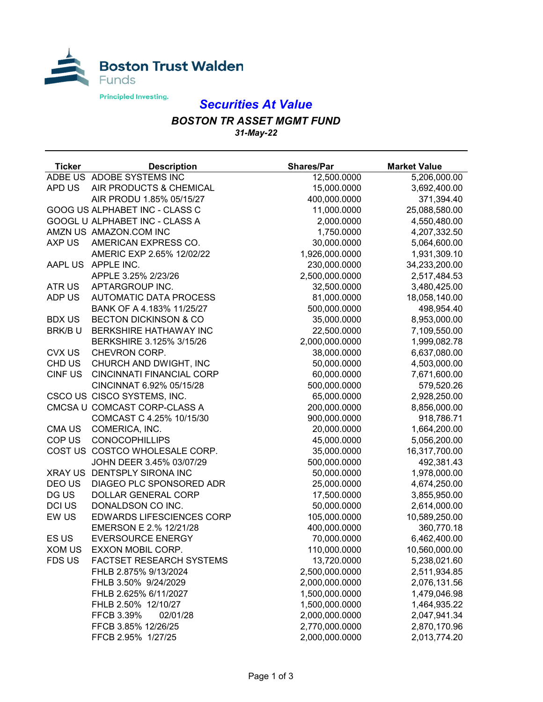

## *Securities At Value*

## *BOSTON TR ASSET MGMT FUND 31-May-22*

| <b>Ticker</b> | <b>Description</b>               | <b>Shares/Par</b> | <b>Market Value</b> |
|---------------|----------------------------------|-------------------|---------------------|
|               | ADBE US ADOBE SYSTEMS INC        | 12,500.0000       | 5,206,000.00        |
| APD US        | AIR PRODUCTS & CHEMICAL          | 15,000.0000       | 3,692,400.00        |
|               | AIR PRODU 1.85% 05/15/27         | 400,000.0000      | 371,394.40          |
|               | GOOG US ALPHABET INC - CLASS C   | 11,000.0000       | 25,088,580.00       |
|               | GOOGL U ALPHABET INC - CLASS A   | 2,000.0000        | 4,550,480.00        |
|               | AMZN US AMAZON.COM INC           | 1,750.0000        | 4,207,332.50        |
| AXP US        | AMERICAN EXPRESS CO.             | 30,000.0000       | 5,064,600.00        |
|               | AMERIC EXP 2.65% 12/02/22        | 1,926,000.0000    | 1,931,309.10        |
| AAPL US       | APPLE INC.                       | 230,000.0000      | 34,233,200.00       |
|               | APPLE 3.25% 2/23/26              | 2,500,000.0000    | 2,517,484.53        |
| <b>ATRUS</b>  | APTARGROUP INC.                  | 32,500.0000       | 3,480,425.00        |
| ADP US        | <b>AUTOMATIC DATA PROCESS</b>    | 81,000.0000       | 18,058,140.00       |
|               | BANK OF A 4.183% 11/25/27        | 500,000.0000      | 498,954.40          |
| <b>BDX US</b> | <b>BECTON DICKINSON &amp; CO</b> | 35,000.0000       | 8,953,000.00        |
| <b>BRK/BU</b> | BERKSHIRE HATHAWAY INC           | 22,500.0000       | 7,109,550.00        |
|               | BERKSHIRE 3.125% 3/15/26         | 2,000,000.0000    | 1,999,082.78        |
| <b>CVX US</b> | CHEVRON CORP.                    | 38,000.0000       | 6,637,080.00        |
| CHD US        | CHURCH AND DWIGHT, INC           | 50,000.0000       | 4,503,000.00        |
| <b>CINFUS</b> | <b>CINCINNATI FINANCIAL CORP</b> | 60,000.0000       | 7,671,600.00        |
|               | CINCINNAT 6.92% 05/15/28         | 500,000.0000      | 579,520.26          |
|               | CSCO US CISCO SYSTEMS, INC.      | 65,000.0000       | 2,928,250.00        |
|               | CMCSA U COMCAST CORP-CLASS A     | 200,000.0000      | 8,856,000.00        |
|               | COMCAST C 4.25% 10/15/30         | 900,000.0000      | 918,786.71          |
| <b>CMAUS</b>  | COMERICA, INC.                   | 20,000.0000       | 1,664,200.00        |
| COP US        | <b>CONOCOPHILLIPS</b>            | 45,000.0000       | 5,056,200.00        |
|               | COST US COSTCO WHOLESALE CORP.   | 35,000.0000       | 16,317,700.00       |
|               | JOHN DEER 3.45% 03/07/29         | 500,000.0000      | 492,381.43          |
|               | XRAY US DENTSPLY SIRONA INC      | 50,000.0000       | 1,978,000.00        |
| DEO US        | DIAGEO PLC SPONSORED ADR         | 25,000.0000       | 4,674,250.00        |
| DG US         | DOLLAR GENERAL CORP              | 17,500.0000       | 3,855,950.00        |
| <b>DCI US</b> | DONALDSON CO INC.                | 50,000.0000       | 2,614,000.00        |
| EW US         | <b>EDWARDS LIFESCIENCES CORP</b> | 105,000.0000      | 10,589,250.00       |
|               | EMERSON E 2.% 12/21/28           | 400,000.0000      | 360,770.18          |
| ES US         | <b>EVERSOURCE ENERGY</b>         | 70,000.0000       | 6,462,400.00        |
| XOM US        | EXXON MOBIL CORP.                | 110,000.0000      | 10,560,000.00       |
| FDS US        | <b>FACTSET RESEARCH SYSTEMS</b>  | 13,720.0000       | 5,238,021.60        |
|               | FHLB 2.875% 9/13/2024            | 2,500,000.0000    | 2,511,934.85        |
|               | FHLB 3.50% 9/24/2029             | 2,000,000.0000    | 2,076,131.56        |
|               | FHLB 2.625% 6/11/2027            | 1,500,000.0000    | 1,479,046.98        |
|               | FHLB 2.50% 12/10/27              | 1,500,000.0000    | 1,464,935.22        |
|               | FFCB 3.39%<br>02/01/28           | 2,000,000.0000    | 2,047,941.34        |
|               | FFCB 3.85% 12/26/25              | 2,770,000.0000    | 2,870,170.96        |
|               | FFCB 2.95% 1/27/25               | 2,000,000.0000    | 2,013,774.20        |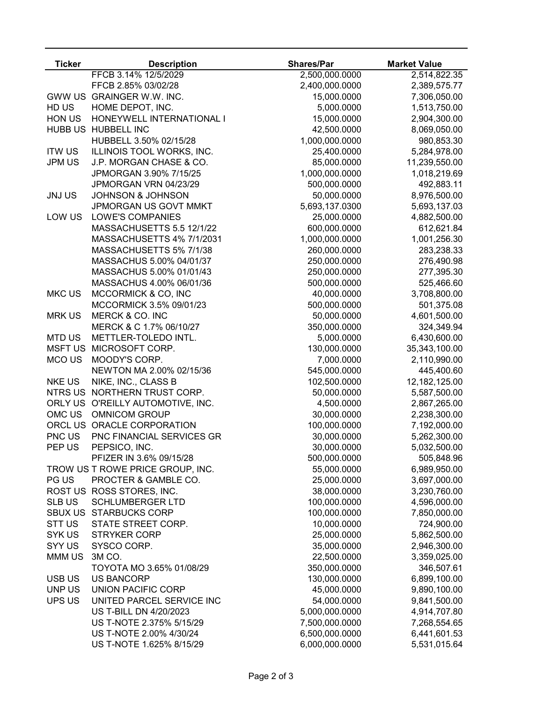| <b>Ticker</b>  | <b>Description</b>                | <b>Shares/Par</b> | <b>Market Value</b> |
|----------------|-----------------------------------|-------------------|---------------------|
|                | FFCB 3.14% 12/5/2029              | 2,500,000.0000    | 2,514,822.35        |
|                | FFCB 2.85% 03/02/28               | 2,400,000.0000    | 2,389,575.77        |
|                | GWW US GRAINGER W.W. INC.         | 15,000.0000       | 7,306,050.00        |
| HD US          | HOME DEPOT, INC.                  | 5,000.0000        | 1,513,750.00        |
| HON US         | HONEYWELL INTERNATIONAL I         | 15,000.0000       | 2,904,300.00        |
|                | HUBB US HUBBELL INC               | 42,500.0000       | 8,069,050.00        |
|                | HUBBELL 3.50% 02/15/28            | 1,000,000.0000    | 980,853.30          |
| <b>ITW US</b>  | ILLINOIS TOOL WORKS, INC.         | 25,400.0000       | 5,284,978.00        |
| <b>JPM US</b>  | J.P. MORGAN CHASE & CO.           | 85,000.0000       | 11,239,550.00       |
|                | JPMORGAN 3.90% 7/15/25            | 1,000,000.0000    | 1,018,219.69        |
|                | JPMORGAN VRN 04/23/29             | 500,000.0000      | 492,883.11          |
| <b>JNJUS</b>   | <b>JOHNSON &amp; JOHNSON</b>      | 50,000.0000       | 8,976,500.00        |
|                | JPMORGAN US GOVT MMKT             | 5,693,137.0300    | 5,693,137.03        |
| LOW US         | <b>LOWE'S COMPANIES</b>           | 25,000.0000       | 4,882,500.00        |
|                | MASSACHUSETTS 5.5 12/1/22         | 600,000.0000      | 612,621.84          |
|                | MASSACHUSETTS 4% 7/1/2031         | 1,000,000.0000    | 1,001,256.30        |
|                | MASSACHUSETTS 5% 7/1/38           | 260,000.0000      | 283,238.33          |
|                | MASSACHUS 5.00% 04/01/37          | 250,000.0000      | 276,490.98          |
|                | MASSACHUS 5.00% 01/01/43          | 250,000.0000      | 277,395.30          |
|                | MASSACHUS 4.00% 06/01/36          | 500,000.0000      | 525,466.60          |
| <b>MKC US</b>  | MCCORMICK & CO, INC               | 40,000.0000       | 3,708,800.00        |
|                | MCCORMICK 3.5% 09/01/23           | 500,000.0000      | 501,375.08          |
| <b>MRK US</b>  | MERCK & CO. INC                   | 50,000.0000       | 4,601,500.00        |
|                | MERCK & C 1.7% 06/10/27           | 350,000.0000      | 324,349.94          |
| <b>MTD US</b>  | METTLER-TOLEDO INTL.              | 5,000.0000        | 6,430,600.00        |
| <b>MSFT US</b> | MICROSOFT CORP.                   | 130,000.0000      | 35,343,100.00       |
| MCO US         | MOODY'S CORP.                     | 7,000.0000        | 2,110,990.00        |
|                | NEWTON MA 2.00% 02/15/36          | 545,000.0000      | 445,400.60          |
| <b>NKE US</b>  | NIKE, INC., CLASS B               | 102,500.0000      | 12,182,125.00       |
| NTRS US        | NORTHERN TRUST CORP.              | 50,000.0000       | 5,587,500.00        |
|                | ORLY US O'REILLY AUTOMOTIVE, INC. | 4,500.0000        | 2,867,265.00        |
| OMC US         | <b>OMNICOM GROUP</b>              | 30,000.0000       | 2,238,300.00        |
|                | ORCL US ORACLE CORPORATION        | 100,000.0000      | 7,192,000.00        |
| PNC US         | PNC FINANCIAL SERVICES GR         | 30,000.0000       | 5,262,300.00        |
| PEP US         | PEPSICO, INC.                     | 30,000.0000       | 5,032,500.00        |
|                | PFIZER IN 3.6% 09/15/28           | 500,000.0000      | 505,848.96          |
|                | TROW US T ROWE PRICE GROUP, INC.  | 55,000.0000       | 6,989,950.00        |
| PG US          | PROCTER & GAMBLE CO.              | 25,000.0000       | 3,697,000.00        |
|                | ROST US ROSS STORES, INC.         | 38,000.0000       | 3,230,760.00        |
| <b>SLB US</b>  | <b>SCHLUMBERGER LTD</b>           | 100,000.0000      | 4,596,000.00        |
|                | SBUX US STARBUCKS CORP            | 100,000.0000      | 7,850,000.00        |
| STT US         | STATE STREET CORP.                | 10,000.0000       | 724,900.00          |
| SYK US         | <b>STRYKER CORP</b>               | 25,000.0000       | 5,862,500.00        |
| SYY US         | SYSCO CORP.                       | 35,000.0000       | 2,946,300.00        |
| MMM US         | 3M CO.                            | 22,500.0000       | 3,359,025.00        |
|                | TOYOTA MO 3.65% 01/08/29          | 350,000.0000      | 346,507.61          |
| <b>USB US</b>  | <b>US BANCORP</b>                 | 130,000.0000      | 6,899,100.00        |
| UNP US         | <b>UNION PACIFIC CORP</b>         | 45,000.0000       | 9,890,100.00        |
| UPS US         | UNITED PARCEL SERVICE INC         | 54,000.0000       | 9,841,500.00        |
|                | US T-BILL DN 4/20/2023            | 5,000,000.0000    | 4,914,707.80        |
|                | US T-NOTE 2.375% 5/15/29          | 7,500,000.0000    | 7,268,554.65        |
|                | US T-NOTE 2.00% 4/30/24           | 6,500,000.0000    | 6,441,601.53        |
|                | US T-NOTE 1.625% 8/15/29          | 6,000,000.0000    | 5,531,015.64        |
|                |                                   |                   |                     |